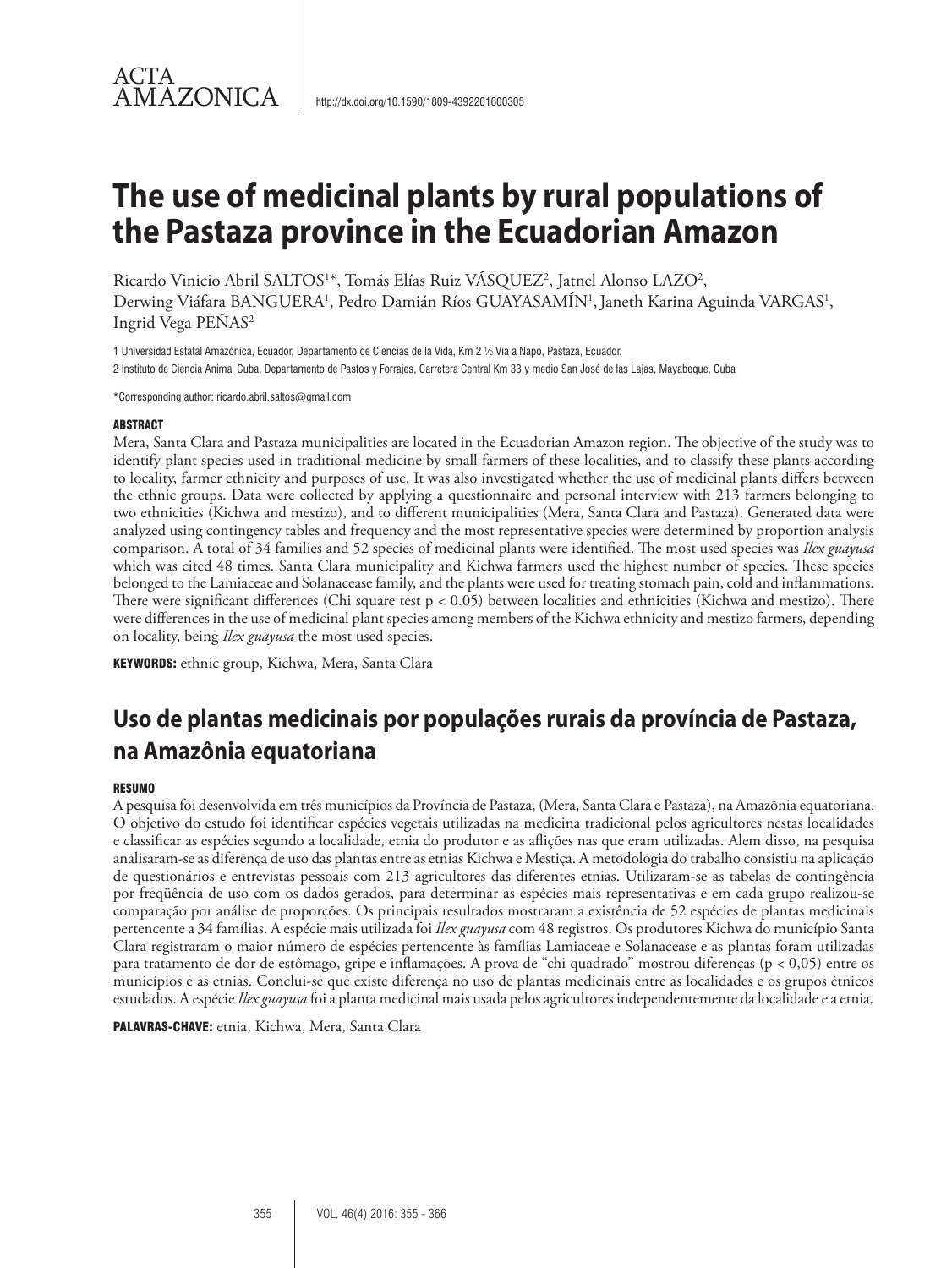# ACTA AMAZONICA

# **The use of medicinal plants by rural populations of the Pastaza province in the Ecuadorian Amazon**

Ricardo Vinicio Abril SALTOS<sup>1</sup>\*, Tomás Elías Ruiz VÁSQUEZ<sup>2</sup>, Jatnel Alonso LAZO<sup>2</sup>, Derwing Viáfara BANGUERA<sup>1</sup>, Pedro Damián Ríos GUAYASAMÍN<sup>1</sup>, Janeth Karina Aguinda VARGAS<sup>1</sup>, Ingrid Vega PEÑAS2

1 Universidad Estatal Amazónica, Ecuador, Departamento de Ciencias de la Vida, Km 2 ½ Via a Napo, Pastaza, Ecuador. 2 Instituto de Ciencia Animal Cuba, Departamento de Pastos y Forrajes, Carretera Central Km 33 y medio San José de las Lajas, Mayabeque, Cuba

\*Corresponding author: ricardo.abril.saltos@gmail.com

#### **ABSTRACT**

Mera, Santa Clara and Pastaza municipalities are located in the Ecuadorian Amazon region. The objective of the study was to identify plant species used in traditional medicine by small farmers of these localities, and to classify these plants according to locality, farmer ethnicity and purposes of use. It was also investigated whether the use of medicinal plants differs between the ethnic groups. Data were collected by applying a questionnaire and personal interview with 213 farmers belonging to two ethnicities (Kichwa and mestizo), and to different municipalities (Mera, Santa Clara and Pastaza). Generated data were analyzed using contingency tables and frequency and the most representative species were determined by proportion analysis comparison. A total of 34 families and 52 species of medicinal plants were identified. The most used species was *Ilex guayusa* which was cited 48 times. Santa Clara municipality and Kichwa farmers used the highest number of species. These species belonged to the Lamiaceae and Solanacease family, and the plants were used for treating stomach pain, cold and inflammations. There were significant differences (Chi square test  $p < 0.05$ ) between localities and ethnicities (Kichwa and mestizo). There were differences in the use of medicinal plant species among members of the Kichwa ethnicity and mestizo farmers, depending on locality, being *Ilex guayusa* the most used species.

KEYWORDS: ethnic group, Kichwa, Mera, Santa Clara

# **Uso de plantas medicinais por populações rurais da província de Pastaza, na Amazônia equatoriana**

#### RESUMO

A pesquisa foi desenvolvida em três municípios da Província de Pastaza, (Mera, Santa Clara e Pastaza), na Amazônia equatoriana. O objetivo do estudo foi identificar espécies vegetais utilizadas na medicina tradicional pelos agricultores nestas localidades e classificar as espécies segundo a localidade, etnia do produtor e as aflições nas que eram utilizadas. Alem disso, na pesquisa analisaram-se as diferença de uso das plantas entre as etnias Kichwa e Mestiça. A metodologia do trabalho consistiu na aplicação de questionários e entrevistas pessoais com 213 agricultores das diferentes etnias. Utilizaram-se as tabelas de contingência por freqüência de uso com os dados gerados, para determinar as espécies mais representativas e em cada grupo realizou-se comparação por análise de proporções. Os principais resultados mostraram a existência de 52 espécies de plantas medicinais pertencente a 34 famílias. A espécie mais utilizada foi *Ilex guayusa* com 48 registros. Os produtores Kichwa do município Santa Clara registraram o maior número de espécies pertencente às famílias Lamiaceae e Solanacease e as plantas foram utilizadas para tratamento de dor de estômago, gripe e inflamações. A prova de "chi quadrado" mostrou diferenças (p < 0,05) entre os municípios e as etnias. Conclui-se que existe diferença no uso de plantas medicinais entre as localidades e os grupos étnicos estudados. A espécie *Ilex guayusa* foi a planta medicinal mais usada pelos agricultores independentemente da localidade e a etnia.

PALAVRAS-CHAVE: etnia, Kichwa, Mera, Santa Clara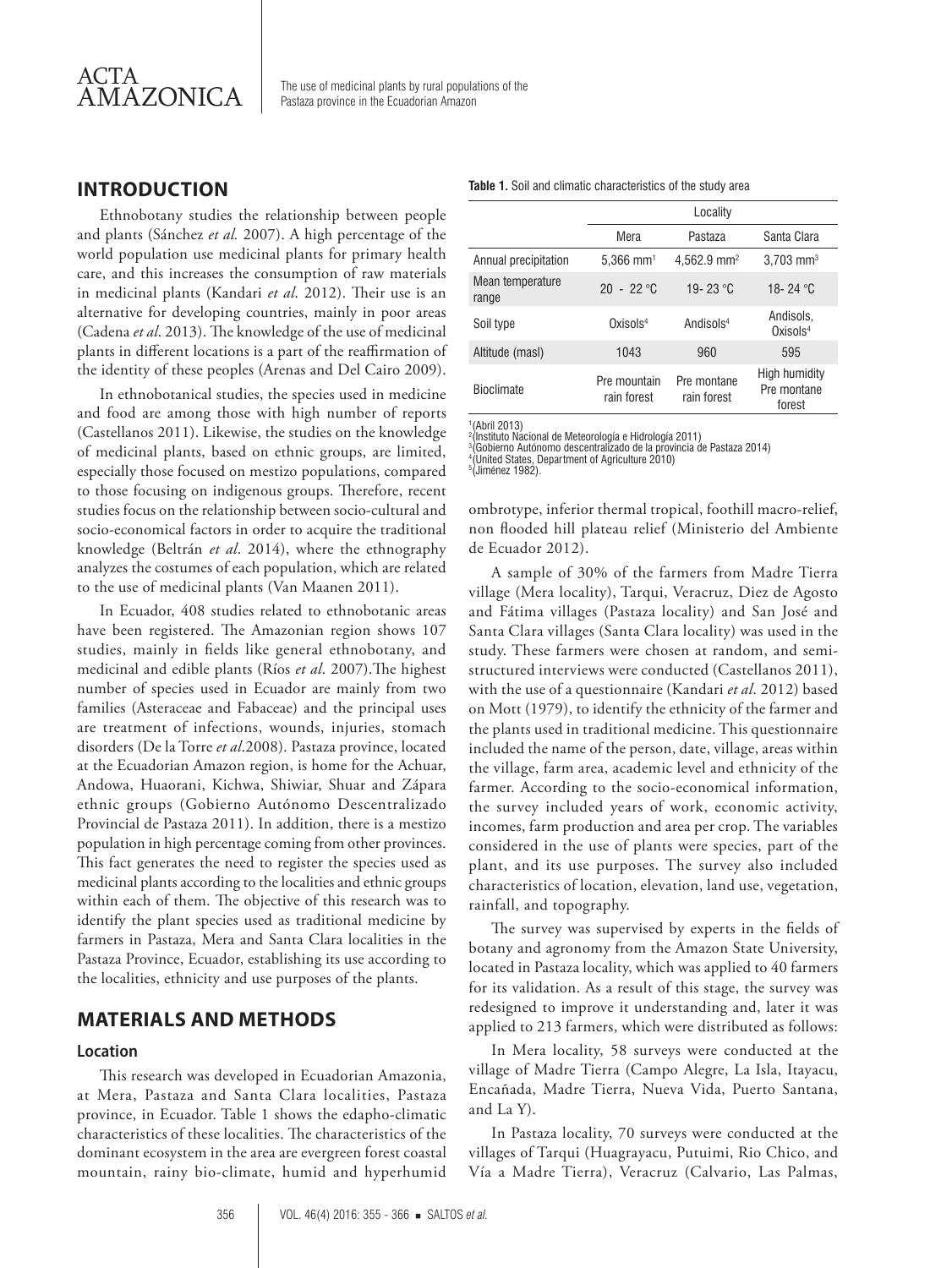#### **INTRODUCTION**

Ethnobotany studies the relationship between people and plants (Sánchez *et al.* 2007). A high percentage of the world population use medicinal plants for primary health care, and this increases the consumption of raw materials in medicinal plants (Kandari *et al*. 2012). Their use is an alternative for developing countries, mainly in poor areas (Cadena *et al*. 2013). The knowledge of the use of medicinal plants in different locations is a part of the reaffirmation of the identity of these peoples (Arenas and Del Cairo 2009).

In ethnobotanical studies, the species used in medicine and food are among those with high number of reports (Castellanos 2011). Likewise, the studies on the knowledge of medicinal plants, based on ethnic groups, are limited, especially those focused on mestizo populations, compared to those focusing on indigenous groups. Therefore, recent studies focus on the relationship between socio-cultural and socio-economical factors in order to acquire the traditional knowledge (Beltrán *et al*. 2014), where the ethnography analyzes the costumes of each population, which are related to the use of medicinal plants (Van Maanen 2011).

In Ecuador, 408 studies related to ethnobotanic areas have been registered. The Amazonian region shows 107 studies, mainly in fields like general ethnobotany, and medicinal and edible plants (Ríos *et al*. 2007).The highest number of species used in Ecuador are mainly from two families (Asteraceae and Fabaceae) and the principal uses are treatment of infections, wounds, injuries, stomach disorders (De la Torre *et al*.2008). Pastaza province, located at the Ecuadorian Amazon region, is home for the Achuar, Andowa, Huaorani, Kichwa, Shiwiar, Shuar and Zápara ethnic groups (Gobierno Autónomo Descentralizado Provincial de Pastaza 2011). In addition, there is a mestizo population in high percentage coming from other provinces. This fact generates the need to register the species used as medicinal plants according to the localities and ethnic groups within each of them. The objective of this research was to identify the plant species used as traditional medicine by farmers in Pastaza, Mera and Santa Clara localities in the Pastaza Province, Ecuador, establishing its use according to the localities, ethnicity and use purposes of the plants.

#### **MATERIALS AND METHODS**

#### **Location**

This research was developed in Ecuadorian Amazonia, at Mera, Pastaza and Santa Clara localities, Pastaza province, in Ecuador. Table 1 shows the edapho-climatic characteristics of these localities. The characteristics of the dominant ecosystem in the area are evergreen forest coastal mountain, rainy bio-climate, humid and hyperhumid

|                           | Mera                        | Pastaza                    | Santa Clara                                   |
|---------------------------|-----------------------------|----------------------------|-----------------------------------------------|
| Annual precipitation      | $5.366$ mm <sup>1</sup>     | 4,562.9 mm <sup>2</sup>    | $3,703$ mm <sup>3</sup>                       |
| Mean temperature<br>range | $20 - 22$ °C                | 19-23 °C                   | 18-24 $^{\circ}$ C                            |
| Soil type                 | Oxisols <sup>4</sup>        | Andisols <sup>4</sup>      | Andisols.<br>Oxisols <sup>4</sup>             |
| Altitude (masl)           | 1043                        | 960                        | 595                                           |
| <b>Bioclimate</b>         | Pre mountain<br>rain forest | Pre montane<br>rain forest | <b>High humidity</b><br>Pre montane<br>forest |
|                           |                             |                            |                                               |

<sup>1</sup> (Abril 2013)<br><sup>2</sup> (Instituto Nacional de Meteorología e Hidrología 2011)<br><sup>3</sup> (Gobierno Autónomo descentralizado de la provincia de Pastaza 2014)<br><sup>5</sup> (Jiménez 1982).<br><sup>5</sup> (Jiménez 1982).

ombrotype, inferior thermal tropical, foothill macro-relief, non flooded hill plateau relief (Ministerio del Ambiente de Ecuador 2012)

A sample of 30% of the farmers from Madre Tierra village (Mera locality), Tarqui, Veracruz, Diez de Agosto and Fátima villages (Pastaza locality) and San José and Santa Clara villages (Santa Clara locality) was used in the study. These farmers were chosen at random, and semistructured interviews were conducted (Castellanos 2011), with the use of a questionnaire (Kandari *et al*. 2012) based on Mott (1979), to identify the ethnicity of the farmer and the plants used in traditional medicine. This questionnaire included the name of the person, date, village, areas within the village, farm area, academic level and ethnicity of the farmer. According to the socio-economical information, the survey included years of work, economic activity, incomes, farm production and area per crop. The variables considered in the use of plants were species, part of the plant, and its use purposes. The survey also included characteristics of location, elevation, land use, vegetation, rainfall, and topography.

The survey was supervised by experts in the fields of botany and agronomy from the Amazon State University, located in Pastaza locality, which was applied to 40 farmers for its validation. As a result of this stage, the survey was redesigned to improve it understanding and, later it was applied to 213 farmers, which were distributed as follows:

In Mera locality, 58 surveys were conducted at the village of Madre Tierra (Campo Alegre, La Isla, Itayacu, Encañada, Madre Tierra, Nueva Vida, Puerto Santana, and La Y).

In Pastaza locality, 70 surveys were conducted at the villages of Tarqui (Huagrayacu, Putuimi, Rio Chico, and Vía a Madre Tierra), Veracruz (Calvario, Las Palmas,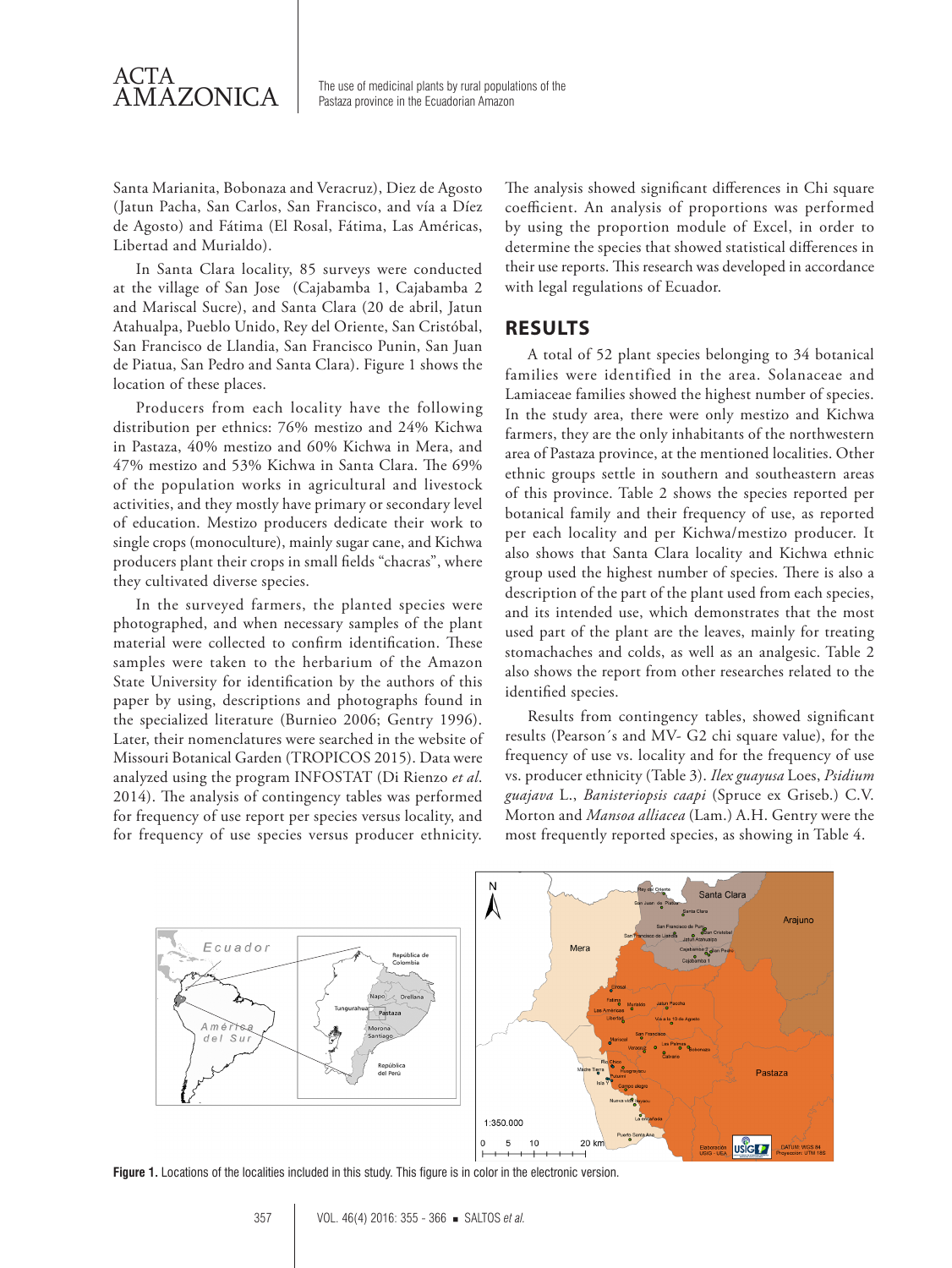

 $\overline{\text{AMAZONICA}}$  The use of medicinal plants by rural populations of the Pastaza province in the Ecuadorian Amazon

Santa Marianita, Bobonaza and Veracruz), Diez de Agosto (Jatun Pacha, San Carlos, San Francisco, and vía a Díez de Agosto) and Fátima (El Rosal, Fátima, Las Américas, Libertad and Murialdo).

In Santa Clara locality, 85 surveys were conducted at the village of San Jose (Cajabamba 1, Cajabamba 2 and Mariscal Sucre), and Santa Clara (20 de abril, Jatun Atahualpa, Pueblo Unido, Rey del Oriente, San Cristóbal, San Francisco de Llandia, San Francisco Punin, San Juan de Piatua, San Pedro and Santa Clara). Figure 1 shows the location of these places.

Producers from each locality have the following distribution per ethnics: 76% mestizo and 24% Kichwa in Pastaza, 40% mestizo and 60% Kichwa in Mera, and 47% mestizo and 53% Kichwa in Santa Clara. The 69% of the population works in agricultural and livestock activities, and they mostly have primary or secondary level of education. Mestizo producers dedicate their work to single crops (monoculture), mainly sugar cane, and Kichwa producers plant their crops in small fields "chacras", where they cultivated diverse species.

In the surveyed farmers, the planted species were photographed, and when necessary samples of the plant material were collected to confirm identification. These samples were taken to the herbarium of the Amazon State University for identification by the authors of this paper by using, descriptions and photographs found in the specialized literature (Burnieo 2006; Gentry 1996). Later, their nomenclatures were searched in the website of Missouri Botanical Garden (TROPICOS 2015). Data were analyzed using the program INFOSTAT (Di Rienzo *et al*. 2014). The analysis of contingency tables was performed for frequency of use report per species versus locality, and for frequency of use species versus producer ethnicity.

The analysis showed significant differences in Chi square coefficient. An analysis of proportions was performed by using the proportion module of Excel, in order to determine the species that showed statistical differences in their use reports. This research was developed in accordance with legal regulations of Ecuador.

#### **RESULTS**

A total of 52 plant species belonging to 34 botanical families were identified in the area. Solanaceae and Lamiaceae families showed the highest number of species. In the study area, there were only mestizo and Kichwa farmers, they are the only inhabitants of the northwestern area of Pastaza province, at the mentioned localities. Other ethnic groups settle in southern and southeastern areas of this province. Table 2 shows the species reported per botanical family and their frequency of use, as reported per each locality and per Kichwa/mestizo producer. It also shows that Santa Clara locality and Kichwa ethnic group used the highest number of species. There is also a description of the part of the plant used from each species, and its intended use, which demonstrates that the most used part of the plant are the leaves, mainly for treating stomachaches and colds, as well as an analgesic. Table 2 also shows the report from other researches related to the identified species.

Results from contingency tables, showed significant results (Pearson´s and MV- G2 chi square value), for the frequency of use vs. locality and for the frequency of use vs. producer ethnicity (Table 3). *Ilex guayusa* Loes, *Psidium guajava* L., *Banisteriopsis caapi* (Spruce ex Griseb.) C.V. Morton and *Mansoa alliacea* (Lam.) A.H. Gentry were the most frequently reported species, as showing in Table 4.



**Figure 1.** Locations of the localities included in this study. This figure is in color in the electronic version.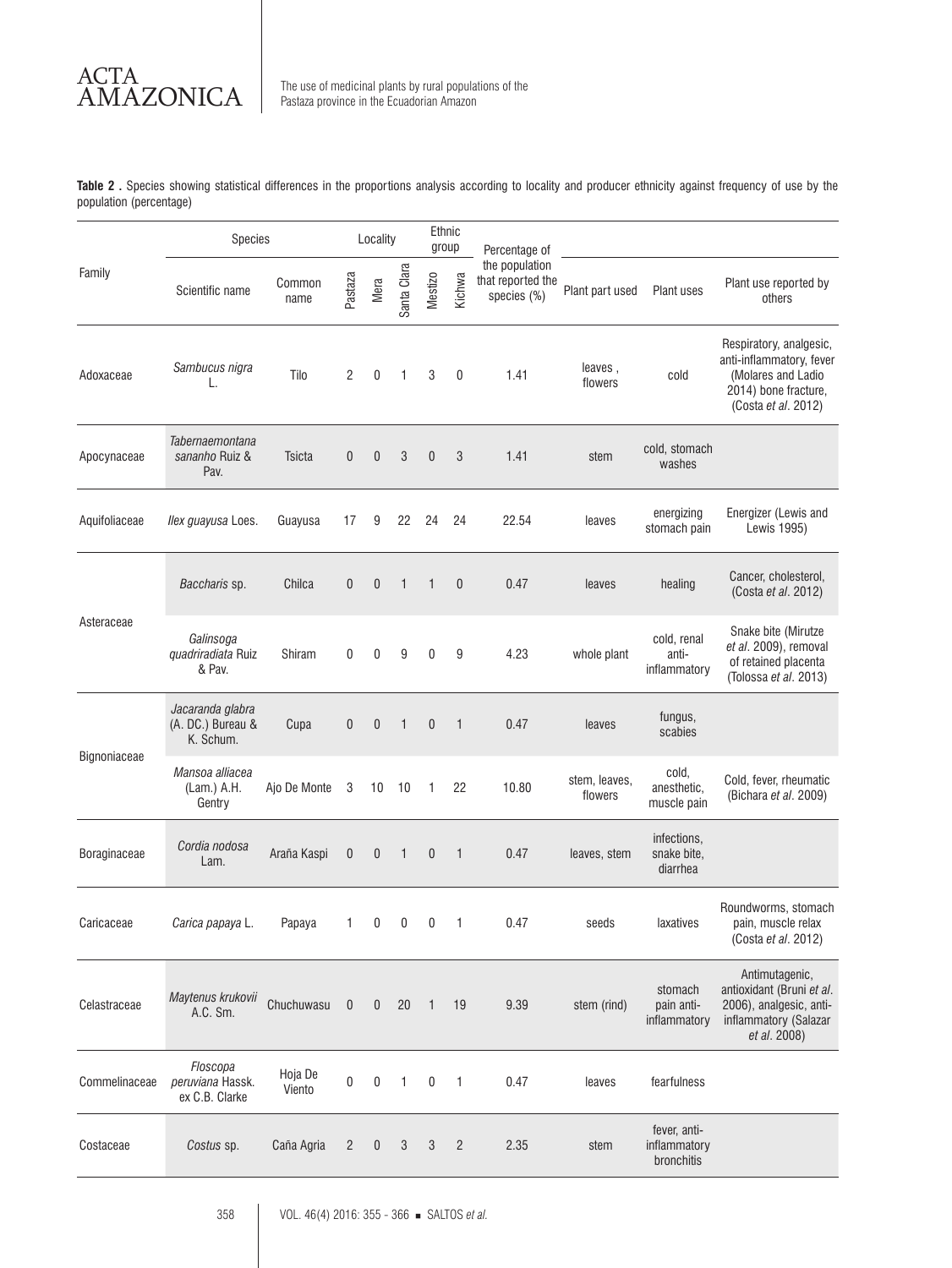Table 2. Species showing statistical differences in the proportions analysis according to locality and producer ethnicity against frequency of use by the population (percentage)

|                     | Species                                            |                   |                | Locality    |              | Ethnic<br>group |                | Percentage of                                      |                          |                                            |                                                                                                                           |
|---------------------|----------------------------------------------------|-------------------|----------------|-------------|--------------|-----------------|----------------|----------------------------------------------------|--------------------------|--------------------------------------------|---------------------------------------------------------------------------------------------------------------------------|
| Family              | Scientific name                                    | Common<br>name    | Pastaza        | Mera        | Santa Clara  | Mestizo         | Kichwa         | the population<br>that reported the<br>species (%) | Plant part used          | Plant uses                                 | Plant use reported by<br>others                                                                                           |
| Adoxaceae           | Sambucus nigra<br>L.                               | Tilo              | $\overline{2}$ | $\mathbf 0$ | 1            | 3               | $\mathbf 0$    | 1.41                                               | leaves,<br>flowers       | cold                                       | Respiratory, analgesic,<br>anti-inflammatory, fever<br>(Molares and Ladio)<br>2014) bone fracture,<br>(Costa et al. 2012) |
| Apocynaceae         | Tabernaemontana<br>sananho Ruiz &<br>Pay.          | Tsicta            | $\mathbf{0}$   | $\theta$    | 3            | $\mathbf{0}$    | 3              | 1.41                                               | stem                     | cold, stomach<br>washes                    |                                                                                                                           |
| Aquifoliaceae       | llex guayusa Loes.                                 | Guayusa           | 17             | 9           | 22           | 24              | 24             | 22.54                                              | leaves                   | energizing<br>stomach pain                 | Energizer (Lewis and<br>Lewis 1995)                                                                                       |
|                     | <i>Baccharis</i> sp.                               | Chilca            | $\mathbf{0}$   | $\theta$    | $\mathbf{1}$ | $\mathbf{1}$    | $\mathbf{0}$   | 0.47                                               | leaves                   | healing                                    | Cancer, cholesterol,<br>(Costa et al. 2012)                                                                               |
| Asteraceae          | Galinsoga<br>quadriradiata Ruiz<br>& Pav.          | Shiram            | $\mathbf{0}$   | 0           | 9            | 0               | 9              | 4.23                                               | whole plant              | cold, renal<br>anti-<br>inflammatory       | Snake bite (Mirutze<br>et al. 2009), removal<br>of retained placenta<br>(Tolossa et al. 2013)                             |
|                     | Jacaranda glabra<br>(A. DC.) Bureau &<br>K. Schum. | Cupa              | $\mathbf{0}$   | $\theta$    | $\mathbf{1}$ | $\mathbf{0}$    | $\mathbf{1}$   | 0.47                                               | leaves                   | fungus,<br>scabies                         |                                                                                                                           |
| Bignoniaceae        | Mansoa alliacea<br>(Lam.) A.H.<br>Gentry           | Ajo De Monte      | 3              | 10          | 10           | 1               | 22             | 10.80                                              | stem, leaves,<br>flowers | cold,<br>anesthetic,<br>muscle pain        | Cold, fever, rheumatic<br>(Bichara et al. 2009)                                                                           |
| <b>Boraginaceae</b> | Cordia nodosa<br>Lam.                              | Araña Kaspi       | $\mathbf 0$    | $\bf{0}$    | $\mathbf{1}$ | $\mathbf{0}$    | $\mathbf{1}$   | 0.47                                               | leaves, stem             | infections,<br>snake bite,<br>diarrhea     |                                                                                                                           |
| Caricaceae          | Carica papaya L.                                   | Papaya            | 1              | 0           | 0            | 0               | 1              | 0.47                                               | seeds                    | laxatives                                  | Roundworms, stomach<br>pain, muscle relax<br>(Costa et al. 2012)                                                          |
| Celastraceae        | Maytenus krukovii<br>A.C. Sm.                      | Chuchuwasu        | $\mathbf{0}$   | $\mathbf 0$ | 20           | $\overline{1}$  | 19             | 9.39                                               | stem (rind)              | stomach<br>pain anti-<br>inflammatory      | Antimutagenic,<br>antioxidant (Bruni et al.<br>2006), analgesic, anti-<br>inflammatory (Salazar<br>et al. 2008)           |
| Commelinaceae       | Floscopa<br>peruviana Hassk.<br>ex C.B. Clarke     | Hoja De<br>Viento | $\mathbf 0$    | $\pmb{0}$   | 1            | $\pmb{0}$       | $\mathbf{1}$   | 0.47                                               | leaves                   | fearfulness                                |                                                                                                                           |
| Costaceae           | Costus sp.                                         | Caña Agria        | $\mathbf{2}$   | $\bf{0}$    | 3            | 3               | $\overline{2}$ | 2.35                                               | stem                     | fever, anti-<br>inflammatory<br>bronchitis |                                                                                                                           |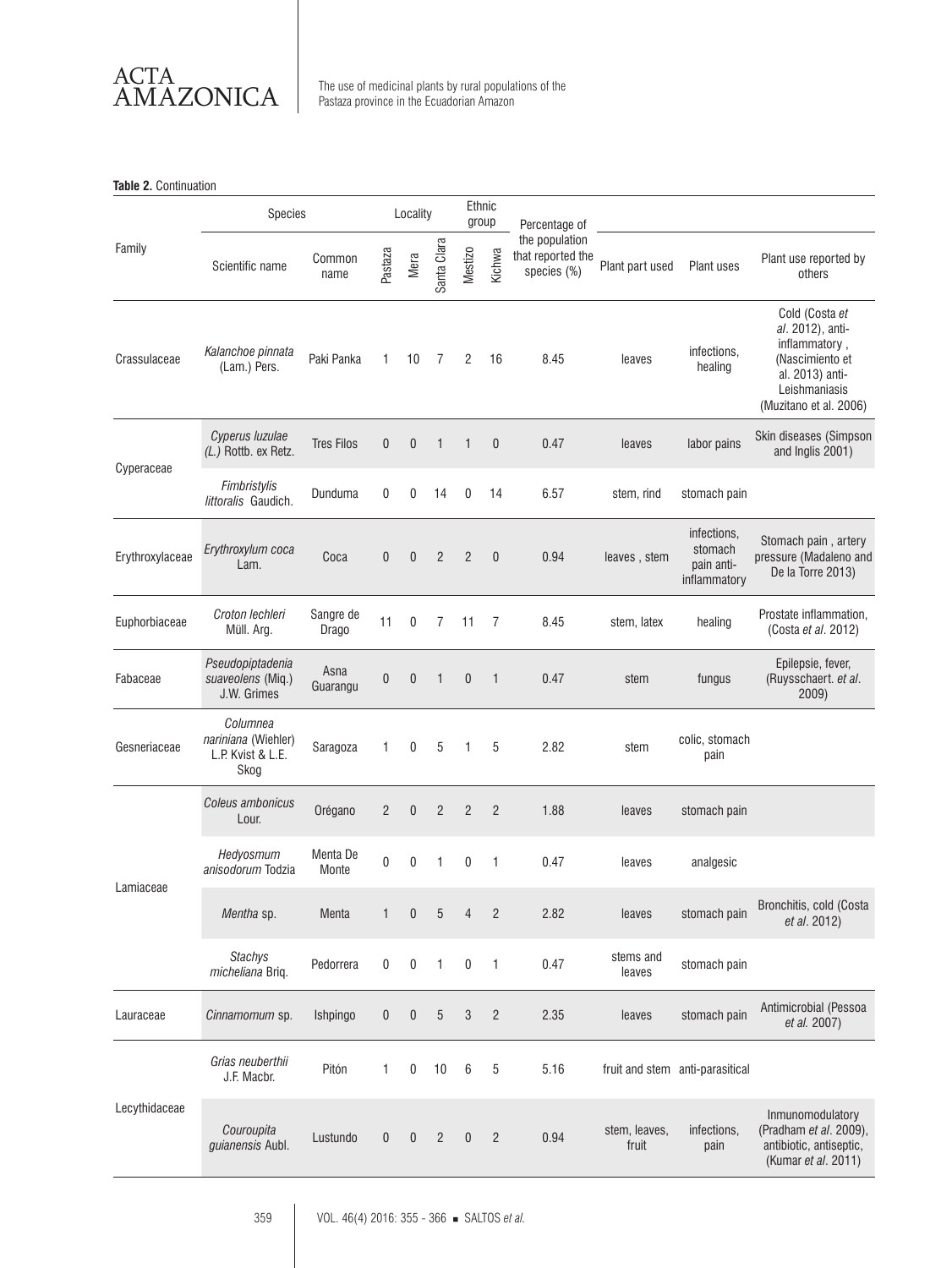

 $\widetilde{\text{AMAZONICA}}\parallel$  The use of medicinal plants by rural populations of the  $\overline{\text{AMAZON}}\parallel$ 

**Table 2.** Continuation

|                 | Species                                                      |                           |                | Locality  |                |                | Ethnic<br>group | Percentage of                                      |                        |                                                      |                                                                                                                                      |
|-----------------|--------------------------------------------------------------|---------------------------|----------------|-----------|----------------|----------------|-----------------|----------------------------------------------------|------------------------|------------------------------------------------------|--------------------------------------------------------------------------------------------------------------------------------------|
| Family          | Scientific name                                              | Common<br>name            | Pastaza        | Mera      | Santa Clara    | <b>Mestizo</b> | Kichwa          | the population<br>that reported the<br>species (%) | Plant part used        | Plant uses                                           | Plant use reported by<br>others                                                                                                      |
| Crassulaceae    | Kalanchoe pinnata<br>(Lam.) Pers.                            | Paki Panka                | 1              | 10        | 7              | 2              | 16              | 8.45                                               | leaves                 | infections,<br>healing                               | Cold (Costa et<br>al. 2012), anti-<br>inflammatory,<br>(Nascimiento et<br>al. 2013) anti-<br>Leishmaniasis<br>(Muzitano et al. 2006) |
| Cyperaceae      | Cyperus luzulae<br>(L.) Rottb. ex Retz.                      | <b>Tres Filos</b>         | $\mathbf{0}$   | $\pmb{0}$ | $\mathbf{1}$   | 1              | $\mathbf{0}$    | 0.47                                               | leaves                 | labor pains                                          | Skin diseases (Simpson<br>and Inglis 2001)                                                                                           |
|                 | Fimbristylis<br>littoralis Gaudich.                          | Dunduma                   | 0              | 0         | 14             | 0              | 14              | 6.57                                               | stem, rind             | stomach pain                                         |                                                                                                                                      |
| Erythroxylaceae | Erythroxylum coca<br>Lam.                                    | Coca                      | 0              | $\bf{0}$  | $\mathbf{2}$   | $\overline{2}$ | $\bf{0}$        | 0.94                                               | leaves, stem           | infections,<br>stomach<br>pain anti-<br>inflammatory | Stomach pain, artery<br>pressure (Madaleno and<br>De la Torre 2013)                                                                  |
| Euphorbiaceae   | Croton lechleri<br>Müll. Arg.                                | Sangre de<br><b>Drago</b> | 11             | 0         | $\overline{7}$ | 11             | 7               | 8.45                                               | stem, latex            | healing                                              | Prostate inflammation,<br>(Costa et al. 2012)                                                                                        |
| Fabaceae        | Pseudopiptadenia<br>suaveolens (Miq.)<br>J.W. Grimes         | Asna<br>Guarangu          | 0              | $\theta$  | $\mathbf{1}$   | $\mathbf{0}$   | $\mathbf{1}$    | 0.47                                               | stem                   | fungus                                               | Epilepsie, fever,<br>(Ruysschaert. et al.<br>$2009$ )                                                                                |
| Gesneriaceae    | Columnea<br>nariniana (Wiehler)<br>L.P. Kvist & L.E.<br>Skog | Saragoza                  | 1              | 0         | 5              | 1              | 5               | 2.82                                               | stem                   | colic, stomach<br>pain                               |                                                                                                                                      |
|                 | Coleus ambonicus<br>Lour.                                    | Orégano                   | $\overline{2}$ | 0         | $\overline{c}$ | $\overline{2}$ | $\overline{c}$  | 1.88                                               | leaves                 | stomach pain                                         |                                                                                                                                      |
| Lamiaceae       | Hedyosmum<br>anisodorum Todzia                               | Menta De<br>Monte         | 0              | $\bf{0}$  | 1              | 0              | 1               | 0.47                                               | leaves                 | analgesic                                            |                                                                                                                                      |
|                 | Mentha sp.                                                   | Menta                     | $\mathbf{1}$   | $\bf{0}$  | 5              | 4              |                 | 2.82                                               | leaves                 | stomach pain                                         | Bronchitis, cold (Costa<br>et al. 2012)                                                                                              |
|                 | <b>Stachys</b><br>micheliana Briq.                           | Pedorrera                 | $\mathbf 0$    | $\pmb{0}$ | $\overline{1}$ | $\pmb{0}$      | $\overline{1}$  | 0.47                                               | stems and<br>leaves    | stomach pain                                         |                                                                                                                                      |
| Lauraceae       | Cinnamomum sp.                                               | Ishpingo                  | $\bf{0}$       | $\bf{0}$  | 5              | $\mathbf{3}$   | $\overline{c}$  | 2.35                                               | leaves                 | stomach pain                                         | Antimicrobial (Pessoa<br>et al. 2007)                                                                                                |
|                 | Grias neuberthii<br>J.F. Macbr.                              | Pitón                     | 1              | 0         | 10             | 6              | 5               | 5.16                                               |                        | fruit and stem anti-parasitical                      |                                                                                                                                      |
| Lecythidaceae   | Couroupita<br>guianensis Aubl.                               | Lustundo                  | $\mathbf 0$    | $\pmb{0}$ | $\overline{2}$ | $\mathbf 0$    | $\overline{c}$  | 0.94                                               | stem, leaves,<br>fruit | infections,<br>pain                                  | Inmunomodulatory<br>(Pradham et al. 2009),<br>antibiotic, antiseptic,<br>(Kumar et al. 2011)                                         |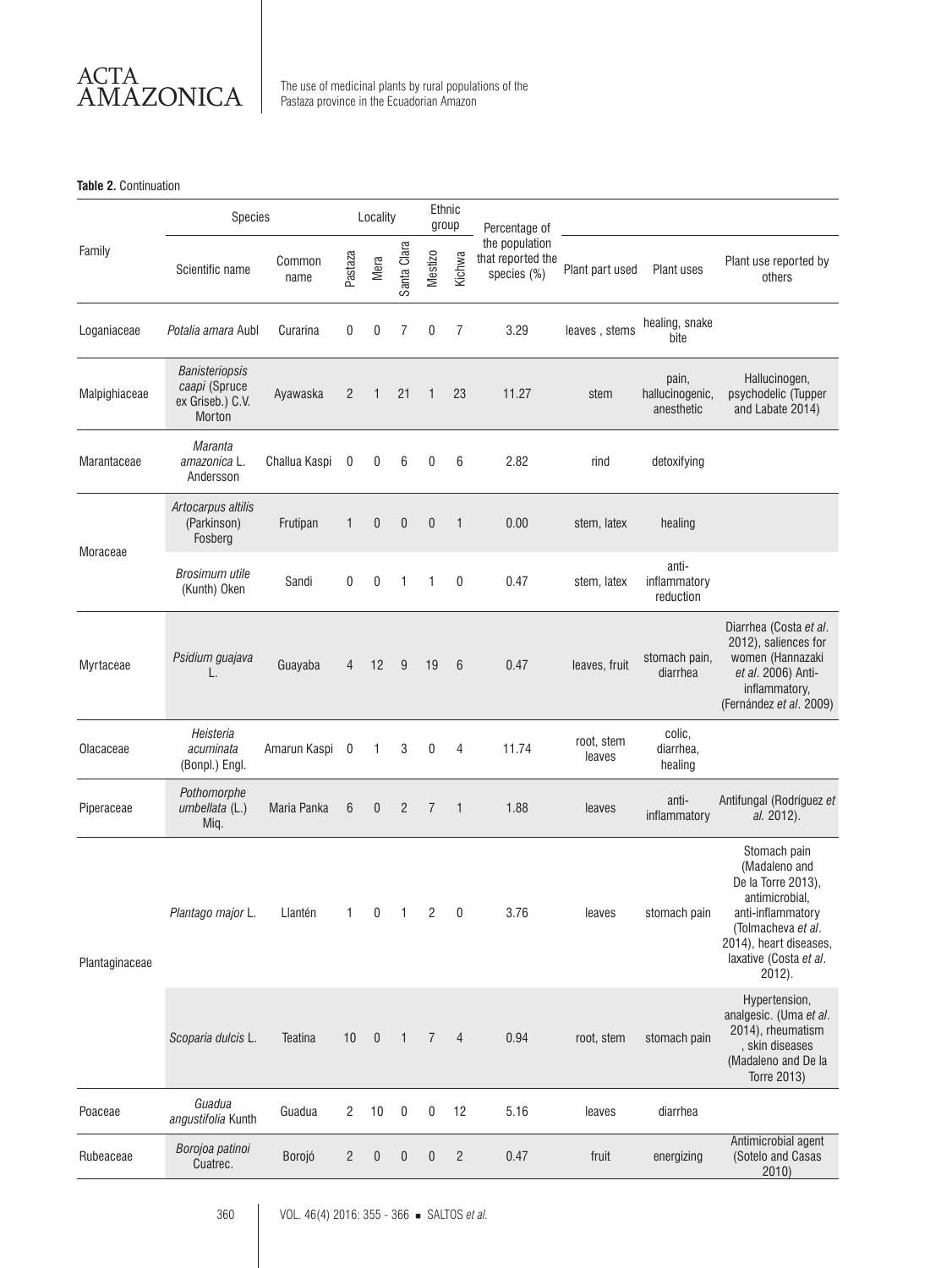

#### **Table 2.** Continuation

|                  | Species                                                              |                | Locality       |              | Ethnic<br>group |                | Percentage of  |                                                    |                      |                                        |                                                                                                                                                                                   |
|------------------|----------------------------------------------------------------------|----------------|----------------|--------------|-----------------|----------------|----------------|----------------------------------------------------|----------------------|----------------------------------------|-----------------------------------------------------------------------------------------------------------------------------------------------------------------------------------|
| Family           | Scientific name                                                      | Common<br>name | Pastaza        | Mera         | Santa Clara     | <b>Mestizo</b> | Kichwa         | the population<br>that reported the<br>species (%) | Plant part used      | Plant uses                             | Plant use reported by<br>others                                                                                                                                                   |
| Loganiaceae      | Potalia amara Aubl                                                   | Curarina       | 0              | 0            | 7               | 0              | 7              | 3.29                                               | leaves, stems        | healing, snake<br>bite                 |                                                                                                                                                                                   |
| Malpighiaceae    | <b>Banisteriopsis</b><br>caapi (Spruce<br>ex Griseb.) C.V.<br>Morton | Ayawaska       | $\mathbf{2}$   | $\mathbf{1}$ | 21              | $\mathbf{1}$   | 23             | 11.27                                              | stem                 | pain,<br>hallucinogenic,<br>anesthetic | Hallucinogen,<br>psychodelic (Tupper<br>and Labate 2014)                                                                                                                          |
| Marantaceae      | Maranta<br>amazonica L.<br>Andersson                                 | Challua Kaspi  | 0              | 0            | 6               | $\mathbf 0$    | 6              | 2.82                                               | rind                 | detoxifying                            |                                                                                                                                                                                   |
|                  | Artocarpus altilis<br>(Parkinson)<br>Fosberg                         | Frutipan       | 1              | $\bf{0}$     | $\bf{0}$        | $\bf{0}$       | $\mathbf{1}$   | 0.00                                               | stem, latex          | healing                                |                                                                                                                                                                                   |
| Moraceae         | Brosimum utile<br>(Kunth) Oken                                       | Sandi          | 0              | 0            | 1               | 1              | 0              | 0.47                                               | stem, latex          | anti-<br>inflammatory<br>reduction     |                                                                                                                                                                                   |
| Myrtaceae        | Psidium guajava<br>L.                                                | Guayaba        | $4 \quad$      | 12           | 9               | 19             | $6\phantom{1}$ | 0.47                                               | leaves, fruit        | stomach pain,<br>diarrhea              | Diarrhea (Costa et al.<br>2012), saliences for<br>women (Hannazaki<br>et al. 2006) Anti-<br>inflammatory,<br>(Fernández et al. 2009)                                              |
| <b>Olacaceae</b> | Heisteria<br>acuminata<br>(Bonpl.) Engl.                             | Amarun Kaspi   | 0              | 1            | 3               | 0              | 4              | 11.74                                              | root, stem<br>leaves | colic,<br>diarrhea,<br>healing         |                                                                                                                                                                                   |
| Piperaceae       | Pothomorphe<br>umbellata (L.)<br>Miq.                                | Maria Panka    | 6              | $\bf{0}$     | $\overline{c}$  | 7              | $\mathbf{1}$   | 1.88                                               | leaves               | anti-<br>inflammatory                  | Antifungal (Rodríguez et<br>al. 2012).                                                                                                                                            |
| Plantaginaceae   | Plantago major L.                                                    | Llantén        | 1              | 0            | 1               | 2              | 0              | 3.76                                               | leaves               | stomach pain                           | Stomach pain<br>(Madaleno and<br>De la Torre 2013),<br>antimicrobial,<br>anti-inflammatory<br>(Tolmacheva et al.<br>2014), heart diseases,<br>laxative (Costa et al.<br>$2012$ ). |
|                  | Scoparia dulcis L.                                                   | Teatina        | $10$           | $\bf{0}$     | $\mathbf{1}$    | $\overline{7}$ | 4              | 0.94                                               | root, stem           | stomach pain                           | Hypertension,<br>analgesic. (Uma et al.<br>2014), rheumatism<br>, skin diseases<br>(Madaleno and De la<br><b>Torre 2013)</b>                                                      |
| Poaceae          | Guadua<br>angustifolia Kunth                                         | Guadua         | 2              | 10           | 0               | 0              | 12             | 5.16                                               | leaves               | diarrhea                               |                                                                                                                                                                                   |
| Rubeaceae        | Borojoa patinoi<br>Cuatrec.                                          | Borojó         | $\overline{2}$ | $\bf{0}$     | 0               | $\pmb{0}$      | 2              | 0.47                                               | fruit                | energizing                             | Antimicrobial agent<br>(Sotelo and Casas<br>2010)                                                                                                                                 |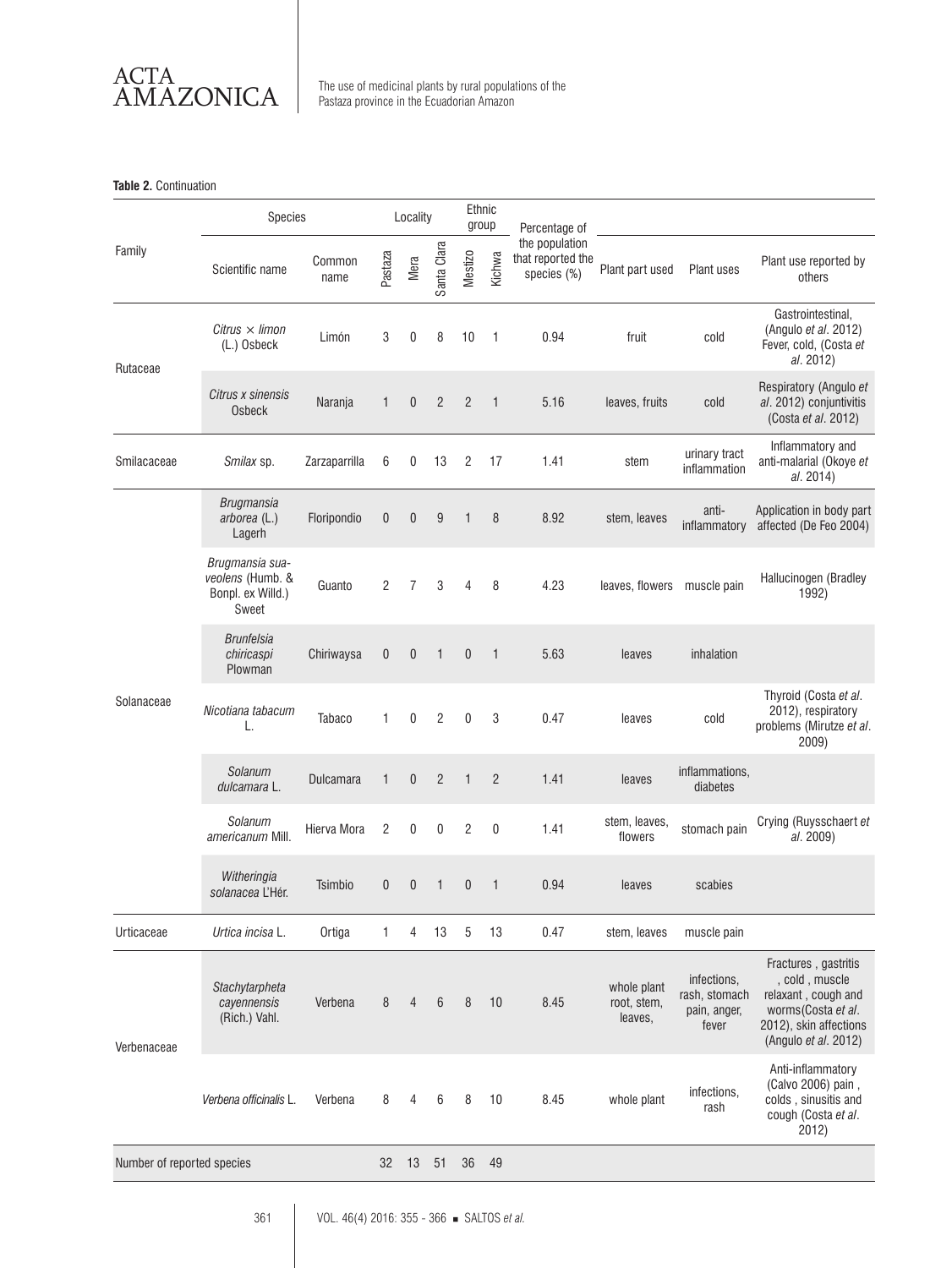

 $\widetilde{\text{AMAZONICA}}\parallel$  The use of medicinal plants by rural populations of the  $\overline{\text{AMAZON}}\parallel$ 

**Table 2.** Continuation

|                            | Species                                                           |                  |                | Locality       |                |                | Ethnic<br>group | Percentage of                                      |                                       |                                                       |                                                                                                                                         |
|----------------------------|-------------------------------------------------------------------|------------------|----------------|----------------|----------------|----------------|-----------------|----------------------------------------------------|---------------------------------------|-------------------------------------------------------|-----------------------------------------------------------------------------------------------------------------------------------------|
| Family                     | Scientific name                                                   | Common<br>name   | Pastaza        | Mera           | Santa Clara    | Mestizo        | Kichwa          | the population<br>that reported the<br>species (%) | Plant part used                       | Plant uses                                            | Plant use reported by<br>others                                                                                                         |
| Rutaceae                   | Citrus $\times$ limon<br>(L.) Osbeck                              | Limón            | 3              | $\mathbf 0$    | 8              | 10             | $\mathbf{1}$    | 0.94                                               | fruit                                 | cold                                                  | Gastrointestinal.<br>(Angulo et al. 2012)<br>Fever, cold, (Costa et<br>al. 2012)                                                        |
|                            | Citrus x sinensis<br>Osbeck                                       | Naranja          | $\mathbf{1}$   | $\pmb{0}$      | $\overline{2}$ | $\overline{2}$ | $\mathbf{1}$    | 5.16                                               | leaves, fruits                        | cold                                                  | Respiratory (Angulo et<br>al. 2012) conjuntivitis<br>(Costa et al. 2012)                                                                |
| Smilacaceae                | Smilax sp.                                                        | Zarzaparrilla    | 6              | 0              | 13             | $\overline{2}$ | 17              | 1.41                                               | stem                                  | urinary tract<br>inflammation                         | Inflammatory and<br>anti-malarial (Okoye et<br>al. 2014)                                                                                |
| Solanaceae                 | <b>Brugmansia</b><br>arborea (L.)<br>Lagerh                       | Floripondio      | 0              | $\pmb{0}$      | 9              | $\mathbf{1}$   | 8               | 8.92                                               | stem, leaves                          | anti-<br>inflammatory                                 | Application in body part<br>affected (De Feo 2004)                                                                                      |
|                            | Brugmansia sua-<br>veolens (Humb. &<br>Bonpl. ex Willd.)<br>Sweet | Guanto           | $\overline{2}$ | $\overline{7}$ | 3              | $\overline{4}$ | 8               | 4.23                                               | leaves, flowers muscle pain           |                                                       | Hallucinogen (Bradley<br>1992)                                                                                                          |
|                            | <b>Brunfelsia</b><br>chiricaspi<br>Plowman                        | Chiriwaysa       | $\mathbf 0$    | $\pmb{0}$      | $\overline{1}$ | $\mathbf{0}$   | $\mathbf{1}$    | 5.63                                               | leaves                                | inhalation                                            |                                                                                                                                         |
|                            | Nicotiana tabacum<br>L.                                           | Tabaco           | $\mathbf{1}$   | 0              | $\overline{c}$ | 0              | 3               | 0.47                                               | leaves                                | cold                                                  | Thyroid (Costa et al.<br>2012), respiratory<br>problems (Mirutze et al.<br>2009)                                                        |
|                            | Solanum<br>dulcamara L.                                           | <b>Dulcamara</b> | $\mathbf{1}$   | $\mathbf{0}$   | $\overline{c}$ | $\mathbf{1}$   | $\overline{c}$  | 1.41                                               | leaves                                | inflammations,<br>diabetes                            |                                                                                                                                         |
|                            | Solanum<br>americanum Mill.                                       | Hierva Mora      | $\overline{2}$ | 0              | 0              | $\overline{2}$ | 0               | 1.41                                               | stem, leaves,<br>flowers              | stomach pain                                          | Crying (Ruysschaert et<br>al. 2009)                                                                                                     |
|                            | Witheringia<br>solanacea L'Hér.                                   | Tsimbio          | $\mathbf 0$    | $\mathbf{0}$   | $\mathbf{1}$   | $\mathbf{0}$   | $\mathbf{1}$    | 0.94                                               | leaves                                | scabies                                               |                                                                                                                                         |
| Urticaceae                 | Urtica incisa L.                                                  | Ortiga           | 1              | 4              | 13             | 5              | 13              | 0.47                                               | stem, leaves                          | muscle pain                                           |                                                                                                                                         |
| Verbenaceae                | Stachytarpheta<br>cayennensis<br>(Rich.) Vahl.                    | Verbena          | 8              | $\overline{4}$ | 6              | 8              | 10              | 8.45                                               | whole plant<br>root, stem,<br>leaves, | infections,<br>rash, stomach<br>pain, anger,<br>fever | Fractures, gastritis<br>, cold , muscle<br>relaxant, cough and<br>worms (Costa et al.<br>2012), skin affections<br>(Angulo et al. 2012) |
|                            | Verbena officinalis L.                                            | Verbena          | 8              | 4              | 6              | 8              | 10              | 8.45                                               | whole plant                           | infections.<br>rash                                   | Anti-inflammatory<br>(Calvo 2006) pain,<br>colds, sinusitis and<br>cough (Costa et al.<br>2012)                                         |
| Number of reported species |                                                                   |                  | 32             | 13             | 51             | 36             | 49              |                                                    |                                       |                                                       |                                                                                                                                         |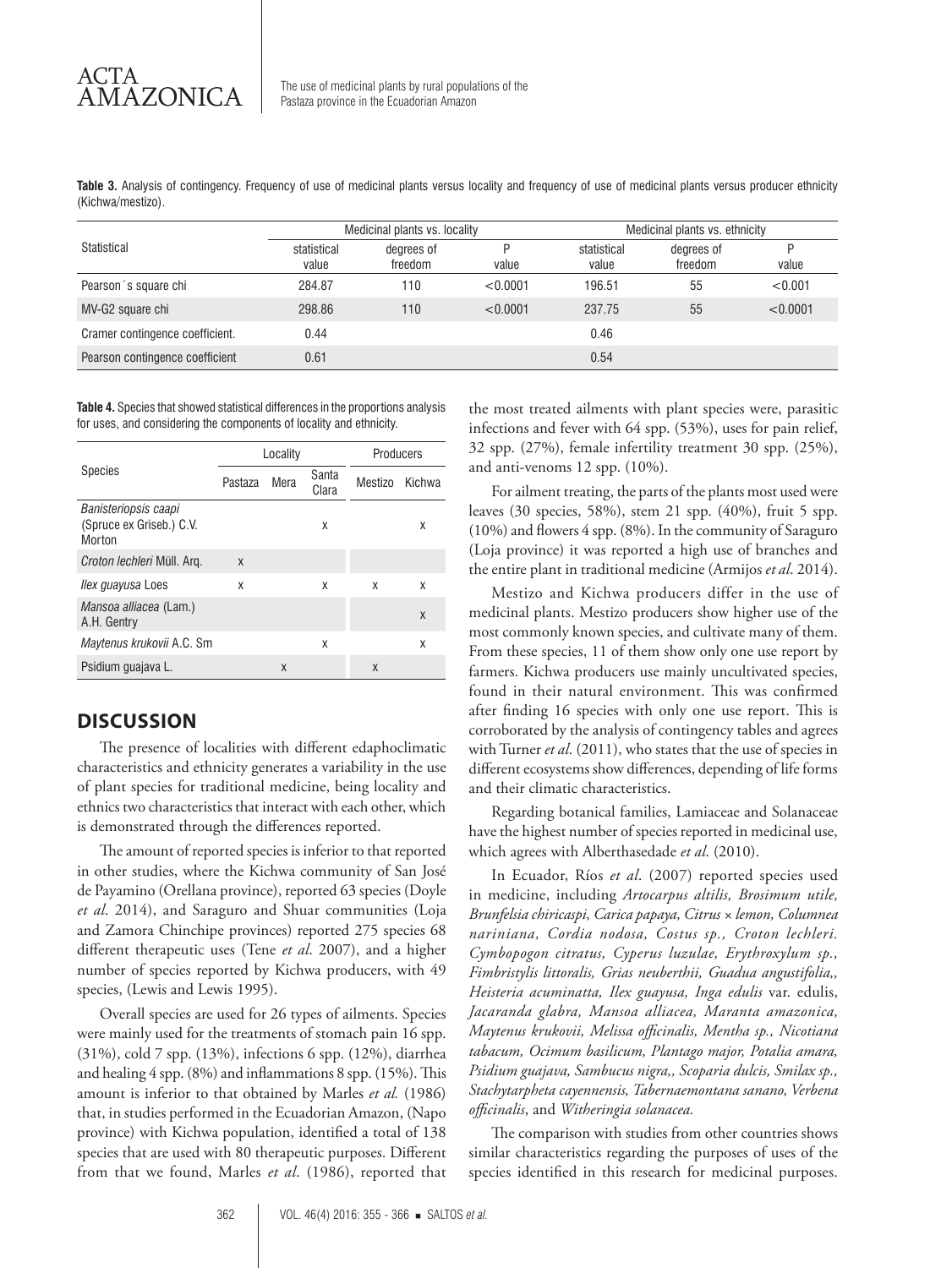**Table 3.** Analysis of contingency. Frequency of use of medicinal plants versus locality and frequency of use of medicinal plants versus producer ethnicity (Kichwa/mestizo).

| Statistical                     |                      | Medicinal plants vs. locality |            | Medicinal plants vs. ethnicity |                       |            |  |
|---------------------------------|----------------------|-------------------------------|------------|--------------------------------|-----------------------|------------|--|
|                                 | statistical<br>value | degrees of<br>freedom         | D<br>value | statistical<br>value           | degrees of<br>freedom | D<br>value |  |
| Pearson's square chi            | 284.87               | 110                           | < 0.0001   | 196.51                         | 55                    | < 0.001    |  |
| MV-G2 square chi                | 298.86               | 110                           | < 0.0001   | 237.75                         | 55                    | < 0.0001   |  |
| Cramer contingence coefficient. | 0.44                 |                               |            | 0.46                           |                       |            |  |
| Pearson contingence coefficient | 0.61                 |                               |            | 0.54                           |                       |            |  |

**Table 4.** Species that showed statistical differences in the proportions analysis for uses, and considering the components of locality and ethnicity.

|                                                            |         | Locality | Producers      |         |        |
|------------------------------------------------------------|---------|----------|----------------|---------|--------|
| <b>Species</b>                                             | Pastaza | Mera     | Santa<br>Clara | Mestizo | Kichwa |
| Banisteriopsis caapi<br>(Spruce ex Griseb.) C.V.<br>Morton |         |          | x              |         | x      |
| <i>Croton lechleri</i> Müll. Arg.                          | X       |          |                |         |        |
| <i>llex guayusa</i> Loes                                   | X       |          | x              | x       | x      |
| <i>Mansoa alliacea</i> (Lam.)<br>A.H. Gentry               |         |          |                |         | X      |
| Maytenus krukovii A.C. Sm                                  |         |          | x              |         | x      |
| Psidium quajava L.                                         |         | X        |                | X       |        |

### **DISCUSSION**

The presence of localities with different edaphoclimatic characteristics and ethnicity generates a variability in the use of plant species for traditional medicine, being locality and ethnics two characteristics that interact with each other, which is demonstrated through the differences reported.

The amount of reported species is inferior to that reported in other studies, where the Kichwa community of San José de Payamino (Orellana province), reported 63 species (Doyle *et al*. 2014), and Saraguro and Shuar communities (Loja and Zamora Chinchipe provinces) reported 275 species 68 different therapeutic uses (Tene *et al*. 2007), and a higher number of species reported by Kichwa producers, with 49 species, (Lewis and Lewis 1995).

Overall species are used for 26 types of ailments. Species were mainly used for the treatments of stomach pain 16 spp. (31%), cold 7 spp. (13%), infections 6 spp. (12%), diarrhea and healing 4 spp. (8%) and inflammations 8 spp. (15%). This amount is inferior to that obtained by Marles *et al.* (1986) that, in studies performed in the Ecuadorian Amazon, (Napo province) with Kichwa population, identified a total of 138 species that are used with 80 therapeutic purposes. Different from that we found, Marles *et al*. (1986), reported that

the most treated ailments with plant species were, parasitic infections and fever with 64 spp. (53%), uses for pain relief, 32 spp. (27%), female infertility treatment 30 spp. (25%), and anti-venoms 12 spp. (10%).

For ailment treating, the parts of the plants most used were leaves (30 species, 58%), stem 21 spp. (40%), fruit 5 spp. (10%) and flowers 4 spp. (8%). In the community of Saraguro (Loja province) it was reported a high use of branches and the entire plant in traditional medicine (Armijos *et al*. 2014).

Mestizo and Kichwa producers differ in the use of medicinal plants. Mestizo producers show higher use of the most commonly known species, and cultivate many of them. From these species, 11 of them show only one use report by farmers. Kichwa producers use mainly uncultivated species, found in their natural environment. This was confirmed after finding 16 species with only one use report. This is corroborated by the analysis of contingency tables and agrees with Turner *et al*. (2011), who states that the use of species in different ecosystems show differences, depending of life forms and their climatic characteristics.

Regarding botanical families, Lamiaceae and Solanaceae have the highest number of species reported in medicinal use, which agrees with Alberthasedade *et al*. (2010).

In Ecuador, Ríos *et al*. (2007) reported species used in medicine, including *Artocarpus altilis, Brosimum utile, Brunfelsia chiricaspi, Carica papaya, Citrus × lemon, Columnea nariniana, Cordia nodosa, Costus sp., Croton lechleri. Cymbopogon citratus, Cyperus luzulae, Erythroxylum sp., Fimbristylis littoralis, Grias neuberthii, Guadua angustifolia,, Heisteria acuminatta, Ilex guayusa, Inga edulis* var. edulis, *Jacaranda glabra, Mansoa alliacea, Maranta amazonica, Maytenus krukovii, Melissa officinalis, Mentha sp., Nicotiana tabacum, Ocimum basilicum, Plantago major, Potalia amara, Psidium guajava, Sambucus nigra,, Scoparia dulcis, Smilax sp., Stachytarpheta cayennensis, Tabernaemontana sanano, Verbena officinalis*, and *Witheringia solanacea.*

The comparison with studies from other countries shows similar characteristics regarding the purposes of uses of the species identified in this research for medicinal purposes.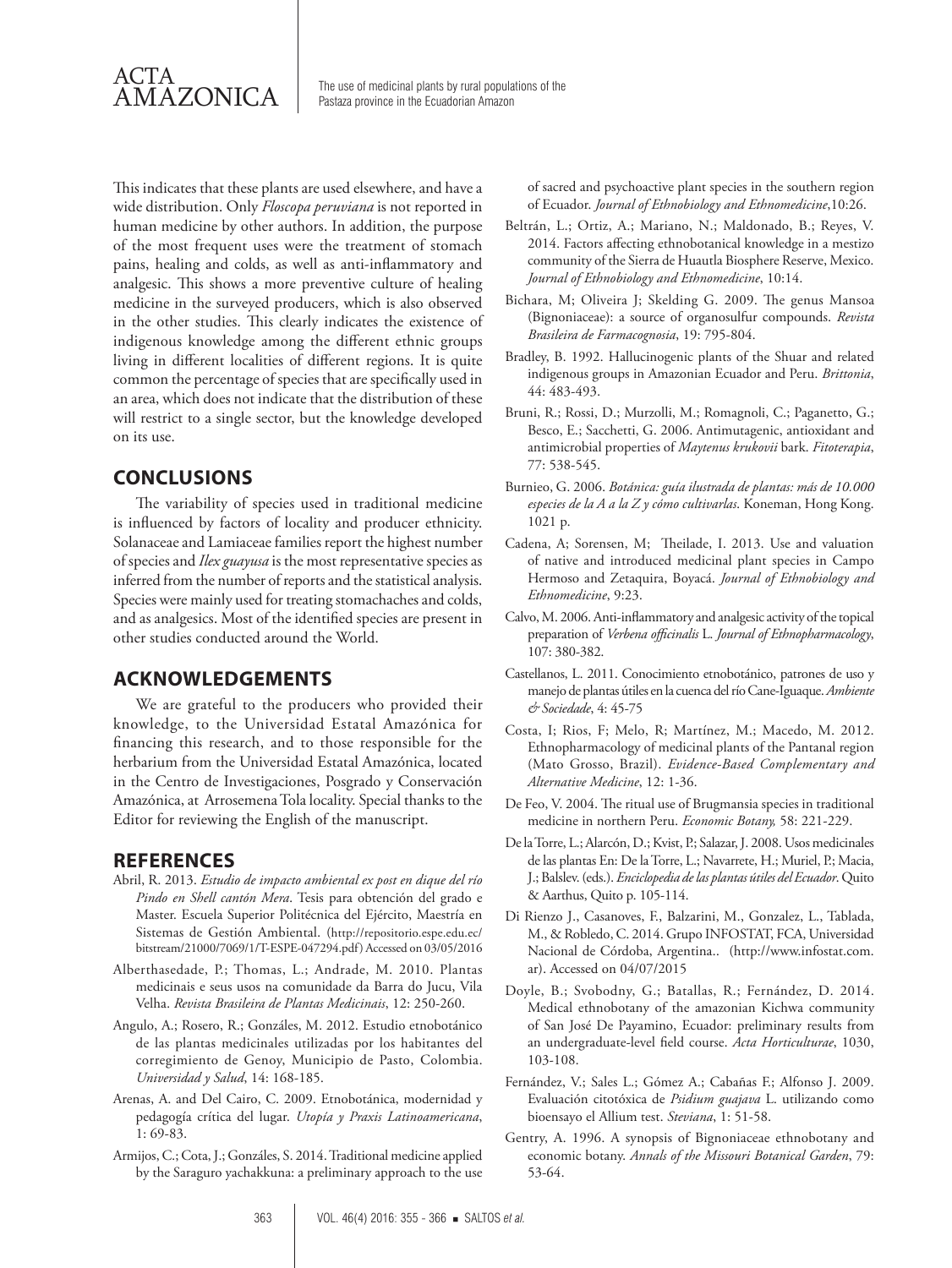

This indicates that these plants are used elsewhere, and have a wide distribution. Only *Floscopa peruviana* is not reported in human medicine by other authors. In addition, the purpose of the most frequent uses were the treatment of stomach pains, healing and colds, as well as anti-inflammatory and analgesic. This shows a more preventive culture of healing medicine in the surveyed producers, which is also observed in the other studies. This clearly indicates the existence of indigenous knowledge among the different ethnic groups living in different localities of different regions. It is quite common the percentage of species that are specifically used in an area, which does not indicate that the distribution of these will restrict to a single sector, but the knowledge developed on its use.

#### **CONCLUSIONS**

The variability of species used in traditional medicine is influenced by factors of locality and producer ethnicity. Solanaceae and Lamiaceae families report the highest number of species and *Ilex guayusa* is the most representative species as inferred from the number of reports and the statistical analysis. Species were mainly used for treating stomachaches and colds, and as analgesics. Most of the identified species are present in other studies conducted around the World.

#### **ACKNOWLEDGEMENTS**

We are grateful to the producers who provided their knowledge, to the Universidad Estatal Amazónica for financing this research, and to those responsible for the herbarium from the Universidad Estatal Amazónica, located in the Centro de Investigaciones, Posgrado y Conservación Amazónica, at Arrosemena Tola locality. Special thanks to the Editor for reviewing the English of the manuscript.

#### **REFERENCES**

- Abril, R. 2013. *Estudio de impacto ambiental ex post en dique del río Pindo en Shell cantón Mera*. Tesis para obtención del grado e Master. Escuela Superior Politécnica del Ejército, Maestría en Sistemas de Gestión Ambiental. (http://repositorio.espe.edu.ec/ bitstream/21000/7069/1/T-ESPE-047294.pdf) Accessed on 03/05/2016
- Alberthasedade, P.; Thomas, L.; Andrade, M. 2010. Plantas medicinais e seus usos na comunidade da Barra do Jucu, Vila Velha. *Revista Brasileira de Plantas Medicinais*, 12: 250-260.
- Angulo, A.; Rosero, R.; Gonzáles, M. 2012. Estudio etnobotánico de las plantas medicinales utilizadas por los habitantes del corregimiento de Genoy, Municipio de Pasto, Colombia. *Universidad y Salud*, 14: 168-185.
- Arenas, A. and Del Cairo, C. 2009. Etnobotánica, modernidad y pedagogía crítica del lugar. *Utopía y Praxis Latinoamericana*, 1: 69-83.
- Armijos, C.; Cota, J.; Gonzáles, S. 2014. Traditional medicine applied by the Saraguro yachakkuna: a preliminary approach to the use

of sacred and psychoactive plant species in the southern region of Ecuador. *Journal of Ethnobiology and Ethnomedicine*,10:26.

- Beltrán, L.; Ortiz, A.; Mariano, N.; Maldonado, B.; Reyes, V. 2014. Factors affecting ethnobotanical knowledge in a mestizo community of the Sierra de Huautla Biosphere Reserve, Mexico. *Journal of Ethnobiology and Ethnomedicine*, 10:14.
- Bichara, M; Oliveira J; Skelding G. 2009. The genus Mansoa (Bignoniaceae): a source of organosulfur compounds. *Revista Brasileira de Farmacognosia*, 19: 795-804.
- Bradley, B. 1992. Hallucinogenic plants of the Shuar and related indigenous groups in Amazonian Ecuador and Peru. *Brittonia*, 44: 483-493.
- Bruni, R.; Rossi, D.; Murzolli, M.; Romagnoli, C.; Paganetto, G.; Besco, E.; Sacchetti, G. 2006. Antimutagenic, antioxidant and antimicrobial properties of *Maytenus krukovii* bark. *Fitoterapia*, 77: 538-545.
- Burnieo, G. 2006. *Botánica: guía ilustrada de plantas: más de 10.000 especies de la A a la Z y cómo cultivarlas*. Koneman, Hong Kong. 1021 p.
- Cadena, A; Sorensen, M; Theilade, I. 2013. Use and valuation of native and introduced medicinal plant species in Campo Hermoso and Zetaquira, Boyacá. *Journal of Ethnobiology and Ethnomedicine*, 9:23.
- Calvo, M. 2006. Anti-inflammatory and analgesic activity of the topical preparation of *Verbena officinalis* L. *Journal of Ethnopharmacology*, 107: 380-382.
- Castellanos, L. 2011. Conocimiento etnobotánico, patrones de uso y manejo de plantas útiles en la cuenca del río Cane-Iguaque. *Ambiente & Sociedade*, 4: 45-75
- Costa, I; Rios, F; Melo, R; Martínez, M.; Macedo, M. 2012. Ethnopharmacology of medicinal plants of the Pantanal region (Mato Grosso, Brazil). *Evidence-Based Complementary and Alternative Medicine*, 12: 1-36.
- De Feo, V. 2004. The ritual use of Brugmansia species in traditional medicine in northern Peru. *Economic Botany,* 58: 221-229.
- De la Torre, L.; Alarcón, D.; Kvist, P.; Salazar, J. 2008. Usos medicinales de las plantas En: De la Torre, L.; Navarrete, H.; Muriel, P.; Macia, J.; Balslev. (eds.). *Enciclopedia de las plantas útiles del Ecuador*. Quito & Aarthus, Quito p. 105-114.
- Di Rienzo J., Casanoves, F., Balzarini, M., Gonzalez, L., Tablada, M., & Robledo, C. 2014. Grupo INFOSTAT, FCA, Universidad Nacional de Córdoba, Argentina.. (http://www.infostat.com. ar). Accessed on 04/07/2015
- Doyle, B.; Svobodny, G.; Batallas, R.; Fernández, D. 2014. Medical ethnobotany of the amazonian Kichwa community of San José De Payamino, Ecuador: preliminary results from an undergraduate-level field course. *Acta Horticulturae*, 1030, 103-108.
- Fernández, V.; Sales L.; Gómez A.; Cabañas F.; Alfonso J. 2009. Evaluación citotóxica de *Psidium guajava* L. utilizando como bioensayo el Allium test. *Steviana*, 1: 51-58.
- Gentry, A. 1996. A synopsis of Bignoniaceae ethnobotany and economic botany. *Annals of the Missouri Botanical Garden*, 79: 53-64.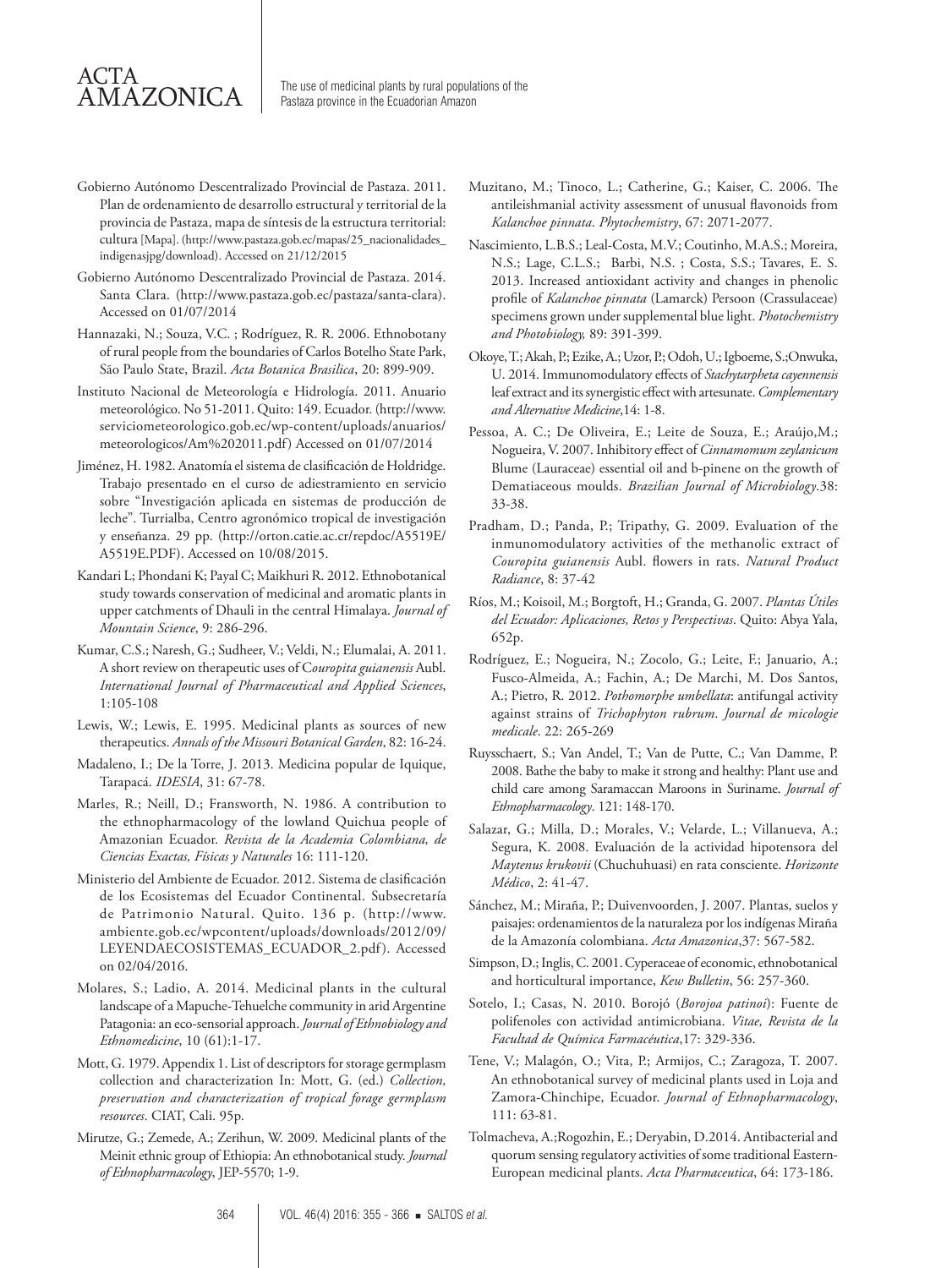## ACTA **AMAZONICA**

- Gobierno Autónomo Descentralizado Provincial de Pastaza. 2011. Plan de ordenamiento de desarrollo estructural y territorial de la provincia de Pastaza, mapa de síntesis de la estructura territorial: cultura [Mapa]. (http://www.pastaza.gob.ec/mapas/25\_nacionalidades\_ indigenasjpg/download). Accessed on 21/12/2015
- Gobierno Autónomo Descentralizado Provincial de Pastaza. 2014. Santa Clara. (http://www.pastaza.gob.ec/pastaza/santa-clara). Accessed on 01/07/2014
- Hannazaki, N.; Souza, V.C. ; Rodríguez, R. R. 2006. Ethnobotany of rural people from the boundaries of Carlos Botelho State Park, São Paulo State, Brazil. *Acta Botanica Brasilica*, 20: 899-909.
- Instituto Nacional de Meteorología e Hidrología. 2011. Anuario meteorológico. No 51-2011. Quito: 149. Ecuador. (http://www. serviciometeorologico.gob.ec/wp-content/uploads/anuarios/ meteorologicos/Am%202011.pdf) Accessed on 01/07/2014
- Jiménez, H. 1982. Anatomía el sistema de clasificación de Holdridge. Trabajo presentado en el curso de adiestramiento en servicio sobre "Investigación aplicada en sistemas de producción de leche". Turrialba, Centro agronómico tropical de investigación y enseñanza. 29 pp. (http://orton.catie.ac.cr/repdoc/A5519E/ A5519E.PDF). Accessed on 10/08/2015.
- Kandari L; Phondani K; Payal C; Maikhuri R. 2012. Ethnobotanical study towards conservation of medicinal and aromatic plants in upper catchments of Dhauli in the central Himalaya. *Journal of Mountain Science*, 9: 286-296.
- Kumar, C.S.; Naresh, G.; Sudheer, V.; Veldi, N.; Elumalai, A. 2011. A short review on therapeutic uses of C*ouropita guianensis* Aubl. *International Journal of Pharmaceutical and Applied Sciences*, 1:105-108
- Lewis, W.; Lewis, E. 1995. Medicinal plants as sources of new therapeutics. *Annals of the Missouri Botanical Garden*, 82: 16-24.
- Madaleno, I.; De la Torre, J. 2013. Medicina popular de Iquique, Tarapacá. *IDESIA*, 31: 67-78.
- Marles, R.; Neill, D.; Fransworth, N. 1986. A contribution to the ethnopharmacology of the lowland Quichua people of Amazonian Ecuador. *Revista de la Academia Colombiana, de Ciencias Exactas, Físicas y Naturales* 16: 111-120.
- Ministerio del Ambiente de Ecuador. 2012. Sistema de clasificación de los Ecosistemas del Ecuador Continental. Subsecretaría de Patrimonio Natural. Quito. 136 p. (http://www. ambiente.gob.ec/wpcontent/uploads/downloads/2012/09/ LEYENDAECOSISTEMAS\_ECUADOR\_2.pdf ). Accessed on 02/04/2016.
- Molares, S.; Ladio, A. 2014. Medicinal plants in the cultural landscape of a Mapuche-Tehuelche community in arid Argentine Patagonia: an eco-sensorial approach. *Journal of Ethnobiology and Ethnomedicine*, 10 (61):1-17.
- Mott, G. 1979. Appendix 1. List of descriptors for storage germplasm collection and characterization In: Mott, G. (ed.) *Collection, preservation and characterization of tropical forage germplasm resources*. CIAT, Cali. 95p.
- Mirutze, G.; Zemede, A.; Zerihun, W. 2009. Medicinal plants of the Meinit ethnic group of Ethiopia: An ethnobotanical study. *Journal of Ethnopharmacology*, JEP-5570; 1-9.
- Muzitano, M.; Tinoco, L.; Catherine, G.; Kaiser, C. 2006. The antileishmanial activity assessment of unusual flavonoids from *Kalanchoe pinnata*. *Phytochemistry*, 67: 2071-2077.
- Nascimiento, L.B.S.; Leal-Costa, M.V.; Coutinho, M.A.S.; Moreira, N.S.; Lage, C.L.S.; Barbi, N.S. ; Costa, S.S.; Tavares, E. S. 2013. Increased antioxidant activity and changes in phenolic profile of *Kalanchoe pinnata* (Lamarck) Persoon (Crassulaceae) specimens grown under supplemental blue light. *Photochemistry and Photobiology,* 89: 391-399.
- Okoye, T.; Akah, P.; Ezike, A.; Uzor, P.; Odoh, U.; Igboeme, S.;Onwuka, U. 2014. Immunomodulatory effects of *Stachytarpheta cayennensis* leaf extract and its synergistic effect with artesunate. *Complementary and Alternative Medicine*,14: 1-8.
- Pessoa, A. C.; De Oliveira, E.; Leite de Souza, E.; Araújo,M.; Nogueira, V. 2007. Inhibitory effect of *Cinnamomum zeylanicum* Blume (Lauraceae) essential oil and b-pinene on the growth of Dematiaceous moulds. *Brazilian Journal of Microbiology*.38: 33-38.
- Pradham, D.; Panda, P.; Tripathy, G. 2009. Evaluation of the inmunomodulatory activities of the methanolic extract of *Couropita guianensis* Aubl. flowers in rats. *Natural Product Radiance*, 8: 37-42
- Ríos, M.; Koisoil, M.; Borgtoft, H.; Granda, G. 2007. *Plantas Útiles del Ecuador: Aplicaciones, Retos y Perspectivas*. Quito: Abya Yala, 652p.
- Rodríguez, E.; Nogueira, N.; Zocolo, G.; Leite, F.; Januario, A.; Fusco-Almeida, A.; Fachin, A.; De Marchi, M. Dos Santos, A.; Pietro, R. 2012. *Pothomorphe umbellata*: antifungal activity against strains of *Trichophyton rubrum*. *Journal de micologie medicale*. 22: 265-269
- Ruysschaert, S.; Van Andel, T.; Van de Putte, C.; Van Damme, P. 2008. Bathe the baby to make it strong and healthy: Plant use and child care among Saramaccan Maroons in Suriname. *Journal of Ethnopharmacology*. 121: 148-170.
- Salazar, G.; Milla, D.; Morales, V.; Velarde, L.; Villanueva, A.; Segura, K. 2008. Evaluación de la actividad hipotensora del *Maytenus krukovii* (Chuchuhuasi) en rata consciente. *Horizonte Médico*, 2: 41-47.
- Sánchez, M.; Miraña, P.; Duivenvoorden, J. 2007. Plantas, suelos y paisajes: ordenamientos de la naturaleza por los indígenas Miraña de la Amazonía colombiana. *Acta Amazonica*,37: 567-582.
- Simpson, D.; Inglis, C. 2001. Cyperaceae of economic, ethnobotanical and horticultural importance, *Kew Bulletin*, 56: 257-360.
- Sotelo, I.; Casas, N. 2010. Borojó (*Borojoa patinoi*): Fuente de polifenoles con actividad antimicrobiana. *Vitae, Revista de la Facultad de Química Farmacéutica*,17: 329-336.
- Tene, V.; Malagón, O.; Vita, P.; Armijos, C.; Zaragoza, T. 2007. An ethnobotanical survey of medicinal plants used in Loja and Zamora-Chinchipe, Ecuador. *Journal of Ethnopharmacology*, 111: 63-81.
- Tolmacheva, A.;Rogozhin, E.; Deryabin, D.2014. Antibacterial and quorum sensing regulatory activities of some traditional Eastern-European medicinal plants. *Acta Pharmaceutica*, 64: 173-186.